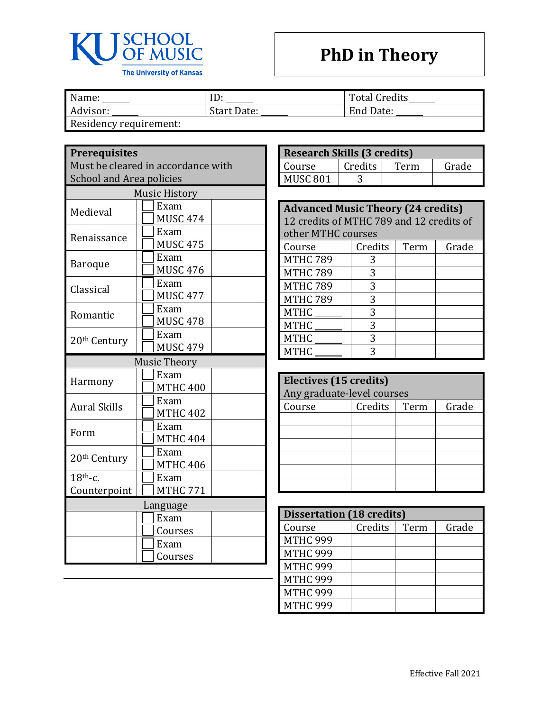

## **PhD in Theory**

| Name:                 |                    | <b>Total Credits</b> |
|-----------------------|--------------------|----------------------|
| Advisor:              | <b>Start Date:</b> | End Date:            |
| Docidancy requirement |                    |                      |

Residency requirement:

## **Prerequisites**

Must be cleared in accordance with School and Area policies

| <b>Music History</b> |                         |  |
|----------------------|-------------------------|--|
| Medieval             | Exam<br><b>MUSC 474</b> |  |
| Renaissance          | Exam<br><b>MUSC 475</b> |  |
| <b>Baroque</b>       | Exam<br><b>MUSC 476</b> |  |
| Classical            | Exam<br><b>MUSC 477</b> |  |
| Romantic             | Exam<br><b>MUSC 478</b> |  |
| 20th Century         | Exam<br><b>MUSC 479</b> |  |
|                      | <b>Music Theory</b>     |  |
| Harmony              | Exam<br><b>MTHC 400</b> |  |
| <b>Aural Skills</b>  | Exam<br><b>MTHC 402</b> |  |
| Form                 | Exam<br><b>MTHC 404</b> |  |
| 20th Century         | Exam<br><b>MTHC 406</b> |  |
| $18th$ -c.           | Exam                    |  |
| Counterpoint         | <b>MTHC 771</b>         |  |
| Language             |                         |  |
|                      | Exam                    |  |
|                      | Courses                 |  |
|                      | Exam                    |  |
|                      | Courses                 |  |

| <b>Research Skills (3 credits)</b> |         |      |       |
|------------------------------------|---------|------|-------|
| Course                             | Credits | Term | Grade |
| MUSC <sub>801</sub>                |         |      |       |

| <b>Advanced Music Theory (24 credits)</b> |         |      |       |
|-------------------------------------------|---------|------|-------|
| 12 credits of MTHC 789 and 12 credits of  |         |      |       |
| other MTHC courses                        |         |      |       |
| Course                                    | Credits | Term | Grade |
| <b>MTHC 789</b>                           | 3       |      |       |
| <b>MTHC 789</b>                           | 3       |      |       |
| <b>MTHC 789</b>                           | 3       |      |       |
| <b>MTHC 789</b>                           | 3       |      |       |
| <b>MTHC</b>                               | 3       |      |       |
| <b>MTHC</b>                               | 3       |      |       |
| <b>MTHC</b>                               | 3       |      |       |
| <b>MTHC</b>                               | 3       |      |       |

| Electives (15 credits)     |         |      |       |
|----------------------------|---------|------|-------|
| Any graduate-level courses |         |      |       |
| Course                     | Credits | Term | Grade |
|                            |         |      |       |
|                            |         |      |       |
|                            |         |      |       |
|                            |         |      |       |
|                            |         |      |       |
|                            |         |      |       |

| <b>Dissertation (18 credits)</b> |         |      |       |
|----------------------------------|---------|------|-------|
| Course                           | Credits | Term | Grade |
| <b>MTHC 999</b>                  |         |      |       |
| <b>MTHC 999</b>                  |         |      |       |
| <b>MTHC 999</b>                  |         |      |       |
| <b>MTHC 999</b>                  |         |      |       |
| <b>MTHC 999</b>                  |         |      |       |
| <b>MTHC 999</b>                  |         |      |       |